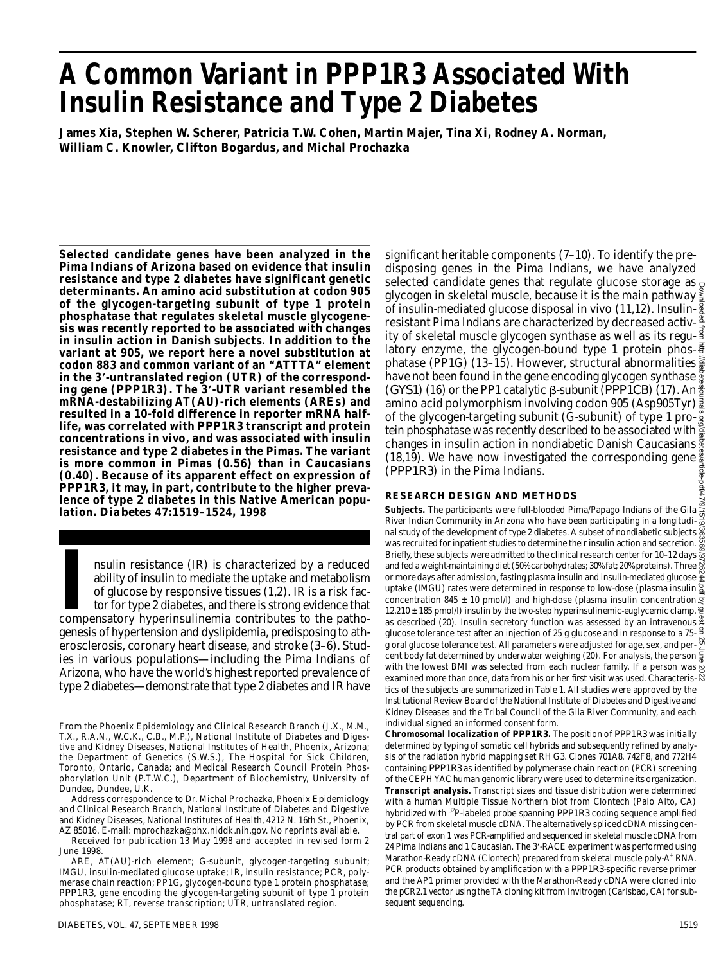# **A Common Variant in** *P P P 1 R 3* **Associated Wi t h Insulin Resistance and Type 2 Diabetes**

**James Xia, Stephen W. Scherer, Patricia T. W. Cohen, Martin Majer, Tina Xi, Rodney A. Norman, William C. Knowler, Clifton Bogardus, and Michal Prochazka**

**Selected candidate genes have been analyzed in the Pima Indians of Arizona based on evidence that insulin resistance and type 2 diabetes have significant genetic determinants. An amino acid substitution at codon 905 of the glycogen-targeting subunit of type 1 protein phosphatase that regulates skeletal muscle glycogenesis was recently reported to be associated with changes in insulin action in Danish subjects. In addition to the variant at 905, we report here a novel substitution at codon 883 and common variant of an "AT T TA" element in the 3 -untranslated region (UTR) of the correspond**ing gene (PPP1R3). The 3'-UTR variant resembled the **mRNA-destabilizing AT(AU)-rich elements (AREs) and resulted in a 10-fold difference in reporter mRNA half**life, was correlated with *PPP1R3* transcript and protein **concentrations in vivo, and was associated with insulin resistance and type 2 diabetes in the Pimas. The variant is more common in Pimas (0.56) than in Caucasians (0.40). Because of its apparent effect on expression of PPP1R3**, it may, in part, contribute to the higher preva**lence of type 2 diabetes in this Native American population.** *D i a b e t e s* **47:1519–1524, 1998**

IN INTER INTERNATION IN THE THREFT CONTROLLED TO SOLUTE THE UPSTAND Of glucose by responsive tissues (1,2). IR is a risk factor for type 2 diabetes, and there is strong evidence that compensatory hyperinsulinemia contribut nsulin resistance (IR) is characterized by a reduced ability of insulin to mediate the uptake and metabolism of glucose by responsive tissues (1,2). IR is a risk factor for type 2 diabetes, and there is strong evidence that genesis of hypertension and dyslipidemia, predisposing to atherosclerosis, coronary heart disease, and stroke (3–6). Studies in various populations—including the Pima Indians of Arizona, who have the world's highest reported prevalence of type 2 diabetes—demonstrate that type 2 diabetes and IR have

Address correspondence to Dr. Michal Prochazka, Phoenix Epidemiology and Clinical Research Branch, National Institute of Diabetes and Digestive and Kidney Diseases, National Institutes of Health, 4212 N. 16th St., Phoenix, AZ 85016. E-mail: mprochazka@phx.niddk.nih.gov. No reprints available.

Received for publication 13 May 1998 and accepted in revised form 2 June 1998.

significant heritable components  $(7-10)$ . To identify the predisposing genes in the Pima Indians, we have analyzed selected candidate genes that regulate glucose storage as  $_{\mathcal{Q}}$ glycogen in skeletal muscle, because it is the main pathway of insulin-mediated glucose disposal in vivo (11,12). Insulin-  $\frac{8}{8}$ resistant Pima Indians are characterized by decreased activity of skeletal muscle glycogen synthase as well as its regulatory enzyme, the glycogen-bound type 1 protein phosphatase (PP1G) (13–15). However, structural abnormalities have not been found in the gene encoding glycogen synthase  $\frac{8}{8}$ *(GYS1)* (16) or the PP1 catalytic β-subunit (*PPPICB*) (17). An<sup>2</sup><sub>2</sub> amino acid polymorphism involving codon 905 (Asp905Tyr)  $\frac{3}{8}$ of the glycogen-targeting subunit (G-subunit) of type 1 protein phosphatase was recently described to be associated with changes in insulin action in nondiabetic Danish Caucasians (18,19). We have now investigated the corresponding gene  $\frac{8}{9}$ (*PPP1R3*) in the Pima Indians.

#### **RESEARCH DESIGN AND METHODS**

**Subjects.** The participants were full-blooded Pima/Papago Indians of the Gila<sup>12</sup><br>
Subjects. The participants were full-blooded Pima/Papago Indians of the Gila River Indian Community in Arizona who have been participating in a longitudinal study of the development of type 2 diabetes. A subset of nondiabetic subjects  $\frac{35}{21}$ was recruited for inpatient studies to determine their insulin action and secretion.  $\ddot{\mathfrak{g}}$ Briefly, these subjects were admitted to the clinical research center for 10–12 days  $\frac{8}{9}$ and fed a weight-maintaining diet (50% carbohydrates; 30% fat; 20% proteins). Three  $\frac{55}{65}$ or more days after admission, fasting plasma insulin and insulin-mediated glucose  $\frac{8}{5}$ uptake (IMGU) rates were determined in response to low-dose (plasma insulin  $\overline{g}$ ) concentration 845  $\pm$  10 pmol/l) and high-dose (plasma insulin concentration  $g$ 12,210 ± 185 pmol/l) insulin by the two-step hyperinsulinemic-euglycemic clamp, as described (20). Insulin secretory function was assessed by an intravenous glucose tolerance test after an injection of 25 g glucose and in response to a 75 g oral glucose tolerance test. All parameters were adjusted for age, sex, and percent body fat determined by underwater weighing (20). For analysis, the person  $\frac{5}{8}$ with the lowest BMI was selected from each nuclear family. If a person was examined more than once, data from his or her first visit was used. Characteristics of the subjects are summarized in Table 1. All studies were approved by the Institutional Review Board of the National Institute of Diabetes and Digestive and Kidney Diseases and the Tribal Council of the Gila River Community, and each individual signed an informed consent form. Downloaded from http://diabetesjournals.org/diabetes/article-pdf/47/9/1519/363569/9726244.pdf by guest on 25 June 2022

**Chromosomal localization of** *PPP1R3*. The position of *PPP1R3* was initially determined by typing of somatic cell hybrids and subsequently refined by analysis of the radiation hybrid mapping set RH G3. Clones 701A8, 742F8, and 772H4 containing *PPP1R3* as identified by polymerase chain reaction (PCR) screening of the CEPH YAC human genomic library were used to determine its organization. **Transcript analysis.** Transcript sizes and tissue distribution were determined with a human Multiple Tissue Northern blot from Clontech (Palo Alto, CA) hybridized with <sup>32</sup>P-labeled probe spanning *PPP1R3* coding sequence amplified by PCR from skeletal muscle cDNA. The alternatively spliced cDNA missing central part of exon 1 was PCR-amplified and sequenced in skeletal muscle cDNA from 24 Pima Indians and 1 Caucasian. The 3'-RACE experiment was performed using Marathon-Ready cDNA (Clontech) prepared from skeletal muscle poly-A<sup>+</sup> RNA. PCR products obtained by amplification with a PPP1R3-specific reverse primer and the AP1 primer provided with the Marathon-Ready cDNA were cloned into the pCR2.1 vector using the TA cloning kit from Invitrogen (Carlsbad, CA) for subsequent sequencing.

From the Phoenix Epidemiology and Clinical Research Branch (J.X., M.M., T.X., R.A.N., W.C.K., C.B., M.P.), National Institute of Diabetes and Digestive and Kidney Diseases, National Institutes of Health, Phoenix, Arizona; the Department of Genetics (S.W.S.), The Hospital for Sick Children, Toronto, Ontario, Canada; and Medical Research Council Protein Phosphorylation Unit (P.T.W.C.), Department of Biochemistry, University of Dundee, Dundee, U.K.

ARE, AT(AU)-rich element; G-subunit, glycogen-targeting subunit; IMGU, insulin-mediated glucose uptake; IR, insulin resistance; PCR, polymerase chain reaction; PP1G, glycogen-bound type 1 protein phosphatase; *PPP1R3*, gene encoding the glycogen-targeting subunit of type 1 protein phosphatase; RT, reverse transcription; UTR, untranslated region.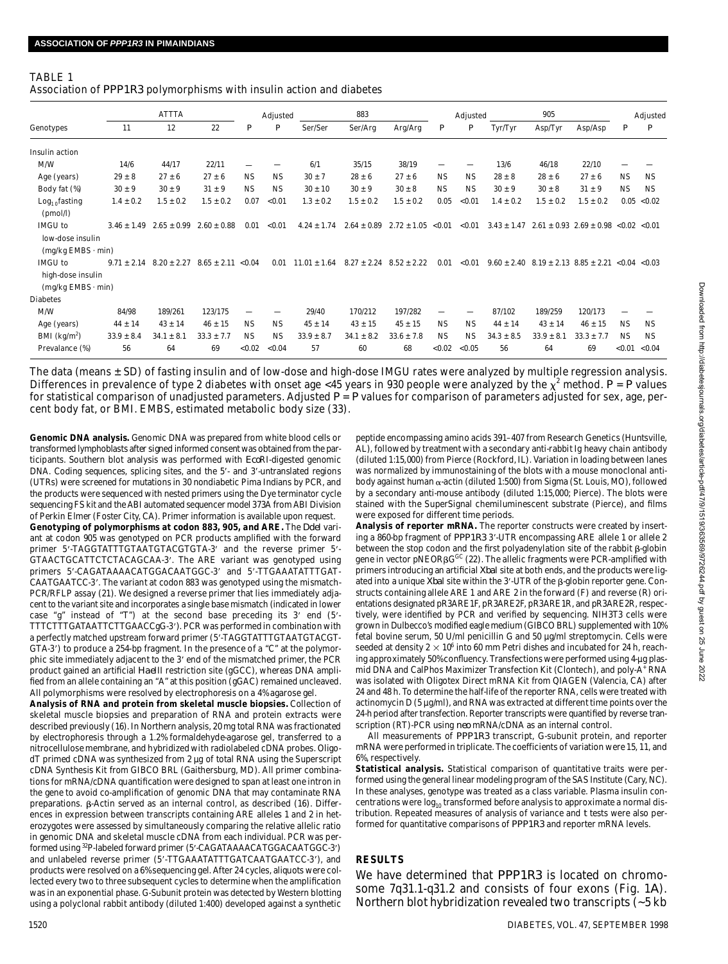#### TABLE 1

| Association of PPP1R3 polymorphisms with insulin action and diabetes |  |  |  |  |  |
|----------------------------------------------------------------------|--|--|--|--|--|
|----------------------------------------------------------------------|--|--|--|--|--|

| Genotypes                                                         | <b>ATTTA</b>    |                 |                                       | Adjusted         |                  |                  | 883             |                       |                  | Adjusted         |                 | 905            |                                                 | Adjusted      |                  |  |
|-------------------------------------------------------------------|-----------------|-----------------|---------------------------------------|------------------|------------------|------------------|-----------------|-----------------------|------------------|------------------|-----------------|----------------|-------------------------------------------------|---------------|------------------|--|
|                                                                   | 11              | 12              | 22                                    | $\boldsymbol{P}$ | $\boldsymbol{P}$ | Ser/Ser          | Ser/Arg         | Arg/Arg               | $\boldsymbol{P}$ | $\boldsymbol{P}$ | Tyr/Tyr         | Asp/Tyr        | Asp/Asp                                         | P             | $\boldsymbol{P}$ |  |
| Insulin action                                                    |                 |                 |                                       |                  |                  |                  |                 |                       |                  |                  |                 |                |                                                 |               |                  |  |
| M/W                                                               | 14/6            | 44/17           | 22/11                                 |                  |                  | 6/1              | 35/15           | 38/19                 |                  |                  | 13/6            | 46/18          | 22/10                                           |               |                  |  |
| Age (years)                                                       | $29 \pm 8$      | $27 \pm 6$      | $27 \pm 6$                            | <b>NS</b>        | <b>NS</b>        | $30 \pm 7$       | $28 \pm 6$      | $27 \pm 6$            | <b>NS</b>        | <b>NS</b>        | $28 \pm 8$      | $28 \pm 6$     | $27 \pm 6$                                      | <b>NS</b>     | <b>NS</b>        |  |
| Body fat (%)                                                      | $30 \pm 9$      | $30 \pm 9$      | $31 \pm 9$                            | <b>NS</b>        | <b>NS</b>        | $30 \pm 10$      | $30 \pm 9$      | $30 \pm 8$            | <b>NS</b>        | NS.              | $30 \pm 9$      | $30 \pm 8$     | $31 \pm 9$                                      | <b>NS</b>     | <b>NS</b>        |  |
| $Log10$ fasting<br>(pmol/l)                                       | $1.4 \pm 0.2$   | $1.5 \pm 0.2$   | $1.5 \pm 0.2$                         | 0.07             | < 0.01           | $1.3 \pm 0.2$    | $1.5 \pm 0.2$   | $1.5 \pm 0.2$         | 0.05             | < 0.01           | $1.4 \pm 0.2$   | $1.5 \pm 0.2$  | $1.5 \pm 0.2$                                   | 0.05          | < 0.02           |  |
| IMGU to<br>low-dose insulin<br>$(mg/kg$ EMBS $\cdot$ min)         | $3.46 \pm 1.49$ | $2.65 \pm 0.99$ | $2.60 \pm 0.88$                       | 0.01             | < 0.01           | $4.24 \pm 1.74$  | $2.64 \pm 0.89$ | $2.72 \pm 1.05$ <0.01 |                  | < 0.01           | $3.43 \pm 1.47$ |                | $2.61 \pm 0.93$ $2.69 \pm 0.98$ <0.02 <0.01     |               |                  |  |
| <b>IMGU to</b><br>high-dose insulin<br>$(mg/kg$ EMBS $\cdot$ min) | $9.71 \pm 2.14$ |                 | $8.20 \pm 2.27$ $8.65 \pm 2.11$ <0.04 |                  | 0.01             | $11.01 \pm 1.64$ | $8.27 \pm 2.24$ | $8.52 \pm 2.22$       | 0.01             | < 0.01           |                 |                | $9.60 \pm 2.40$ $8.19 \pm 2.13$ $8.85 \pm 2.21$ | < 0.04 < 0.03 |                  |  |
| Diabetes                                                          |                 |                 |                                       |                  |                  |                  |                 |                       |                  |                  |                 |                |                                                 |               |                  |  |
| M/W                                                               | 84/98           | 189/261         | 123/175                               |                  |                  | 29/40            | 170/212         | 197/282               | -                |                  | 87/102          | 189/259        | 120/173                                         |               |                  |  |
| Age (years)                                                       | $44 \pm 14$     | $43 \pm 14$     | $46 \pm 15$                           | <b>NS</b>        | <b>NS</b>        | $45 \pm 14$      | $43 \pm 15$     | $45 \pm 15$           | <b>NS</b>        | <b>NS</b>        | $44 \pm 14$     | $43 \pm 14$    | $46 \pm 15$                                     | <b>NS</b>     | <b>NS</b>        |  |
| BMI $(kq/m2)$                                                     | $33.9 \pm 8.4$  | $34.1 \pm 8.1$  | $33.3 \pm 7.7$                        | <b>NS</b>        | <b>NS</b>        | $33.9 \pm 8.7$   | $34.1 \pm 8.2$  | $33.6 \pm 7.8$        | <b>NS</b>        | <b>NS</b>        | $34.3 \pm 8.5$  | $33.9 \pm 8.1$ | $33.3 \pm 7.7$                                  | <b>NS</b>     | <b>NS</b>        |  |
| Prevalance (%)                                                    | 56              | 64              | 69                                    | <0.02            | < 0.04           | 57               | 60              | 68                    | < 0.02           | < 0.05           | 56              | 64             | 69                                              | < 0.01        | < 0.04           |  |

The data (means ± SD) of fasting insulin and of low-dose and high-dose IMGU rates were analyzed by multiple regression analysis. Differences in prevalence of type 2 diabetes with onset age <45 years in 930 people were analyzed by the  $\chi^2$  method.  $P = P$  values for statistical comparison of unadjusted parameters. Adjusted  $P = P$  values for comparison of parameters adjusted for sex, age, percent body fat, or BMI. EMBS, estimated metabolic body size (33).

**Genomic DNA analysis.** Genomic DNA was prepared from white blood cells or transformed lymphoblasts after signed informed consent was obtained from the participants. Southern blot analysis was performed with *Eco*RI-digested genomic DNA. Coding sequences, splicing sites, and the 5'- and 3'-untranslated regions (UTRs) were screened for mutations in 30 nondiabetic Pima Indians by PCR, and the products were sequenced with nested primers using the Dye terminator cycle sequencing FS kit and the ABI automated sequencer model 373A from ABI Division of Perkin Elmer (Foster City, CA). Primer information is available upon request.

Genotyping of polymorphisms at codon 883, 905, and ARE. The *Ddel vari*ant at codon 905 was genotyped on PCR products amplified with the forward primer 5'-TAGGTATTTGTAATGTACGTGTA-3' and the reverse primer 5'-GTAACTGCATTCTCTACAGCAA-3'. The ARE variant was genotyped using primers 5'-CAGATAAAACATGGACAATGGC-3' and 5'-TTGAAATATTTGAT-CAATGAATCC-3'. The variant at codon 883 was genotyped using the mismatch-PCR/RFLP assay (21). We designed a reverse primer that lies immediately adjacent to the variant site and incorporates a single base mismatch (indicated in lower case "g" instead of "T") at the second base preceding its  $3'$  end  $(5'-$ TTTCTTTGATAATTCTTGAACCgG-3'). PCR was performed in combination with a perfectly matched upstream forward primer (5'-TAGGTATTTGTAATGTACGT-GTA-3') to produce a 254-bp fragment. In the presence of a "C" at the polymorphic site immediately adjacent to the 3' end of the mismatched primer, the PCR product gained an artificial *Hae*III restriction site (gGCC), whereas DNA amplified from an allele containing an "A" at this position (gGAC) remained uncleaved. All polymorphisms were resolved by electrophoresis on a 4% agarose gel.

**Analysis of RNA and protein from skeletal muscle biopsies.** Collection of skeletal muscle biopsies and preparation of RNA and protein extracts were described previously (16). In Northern analysis, 20 mg total RNA was fractionated by electrophoresis through a 1.2% formaldehyde-agarose gel, transferred to a nitrocellulose membrane, and hybridized with radiolabeled cDNA probes. OligodT primed cDNA was synthesized from 2 µg of total RNA using the Superscript cDNA Synthesis Kit from GIBCO BRL (Gaithersburg, MD). All primer combinations for mRNA/cDNA quantification were designed to span at least one intron in the gene to avoid co-amplification of genomic DNA that may contaminate RNA preparations. B-Actin served as an internal control, as described (16). Differences in expression between transcripts containing ARE alleles 1 and 2 in heterozygotes were assessed by simultaneously comparing the relative allelic ratio in genomic DNA and skeletal muscle cDNA from each individual. PCR was performed using <sup>32</sup>P-labeled forward primer (5'-CAGATAAAACATGGACAATGGC-3') and unlabeled reverse primer (5'-TTGAAATATTTGATCAATGAATCC-3'), and products were resolved on a 6% sequencing gel. After 24 cycles, aliquots were collected every two to three subsequent cycles to determine when the amplification was in an exponential phase. G-Subunit protein was detected by Western blotting using a polyclonal rabbit antibody (diluted 1:400) developed against a synthetic peptide encompassing amino acids 391–407 from Research Genetics (Huntsville, AL), followed by treatment with a secondary anti-rabbit Ig heavy chain antibody (diluted 1:15,000) from Pierce (Rockford, IL). Variation in loading between lanes was normalized by immunostaining of the blots with a mouse monoclonal antibody against human  $\alpha$ -actin (diluted 1:500) from Sigma (St. Louis, MO), followed by a secondary anti-mouse antibody (diluted 1:15,000; Pierce). The blots were stained with the SuperSignal chemiluminescent substrate (Pierce), and films were exposed for different time periods.

**Analysis of reporter mRNA.** The reporter constructs were created by inserting a 860-bp fragment of PPP1R33'-UTR encompassing ARE allele 1 or allele 2 between the stop codon and the first polyadenylation site of the rabbit  $\beta$ -globin gene in vector pNEOR $\beta \mathsf{G}^\text{GC}$  (22). The allelic fragments were PCR-amplified with primers introducing an artificial *Xba*I site at both ends, and the products were ligated into a unique *Xba*I site within the 3'-UTR of the  $\beta$ -globin reporter gene. Constructs containing allele ARE 1 and ARE 2 in the forward (F) and reverse (R) orientations designated pR3ARE1F, pR3ARE2F, pR3ARE1R, and pR3ARE2R, respectively, were identified by PCR and verified by sequencing. NIH3T3 cells were grown in Dulbecco's modified eagle medium (GIBCO BRL) supplemented with 10% fetal bovine serum, 50 U/ml penicillin G and 50 µg/ml streptomycin. Cells were seeded at density 2  $\times$  10 $^6$  into 60 mm Petri dishes and incubated for 24 h, reaching approximately 50% confluency. Transfections were performed using 4-µg plasmid DNA and CalPhos Maximizer Transfection Kit (Clontech), and poly-A<sup>+</sup> RNA was isolated with Oligotex Direct mRNA Kit from QIAGEN (Valencia, CA) after 24 and 48 h. To determine the half-life of the reporter RNA, cells were treated with actinomycin D (5 µg/ml), and RNA was extracted at different time points over the 24-h period after transfection. Reporter transcripts were quantified by reverse transcription (RT)-PCR using *neo* mRNA/cDNA as an internal control.

All measurements of PPP1R3 transcript, G-subunit protein, and reporter mRNA were performed in triplicate. The coefficients of variation were 15, 11, and 6%, respectively.

**Statistical analysis.** Statistical comparison of quantitative traits were performed using the general linear modeling program of the SAS Institute (Cary, NC). In these analyses, genotype was treated as a class variable. Plasma insulin concentrations were  $log_{10}$  transformed before analysis to approximate a normal distribution. Repeated measures of analysis of variance and *t* tests were also performed for quantitative comparisons of *PPP1R3* and reporter mRNA levels.

## **RESULTS**

We have determined that PPP1R3 is located on chromosome 7q31.1-q31.2 and consists of four exons (Fig. 1*A*) . Northern blot hybridization revealed two transcripts (~5 kb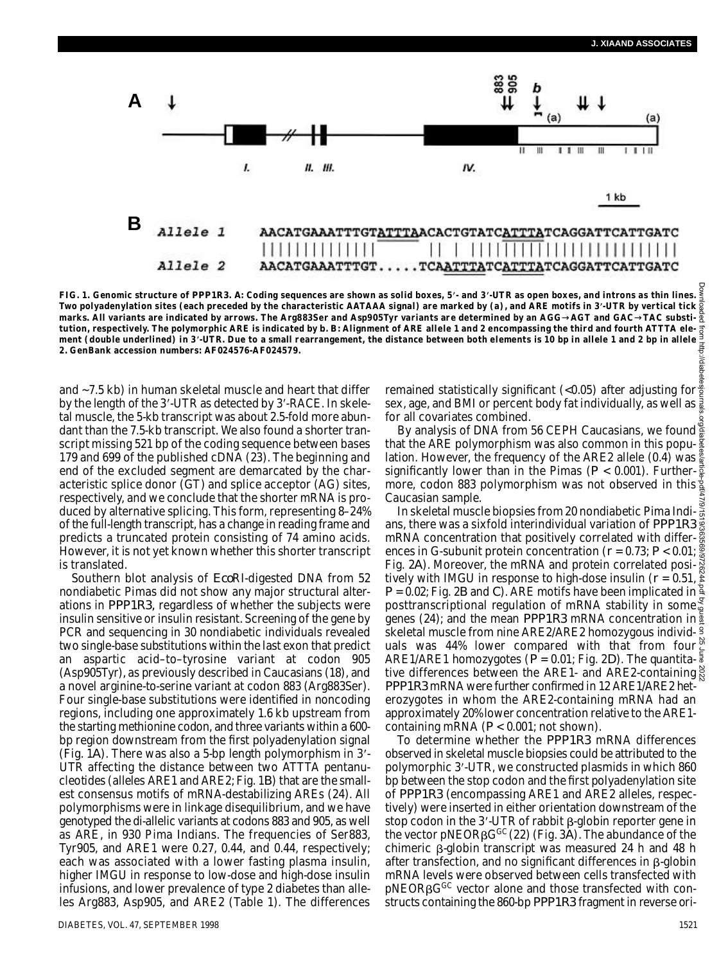

FIG. 1. Genomic structure of *PPP1R3. A*: Coding sequences are shown as solid boxes, 5'- and 3'-UTR as open boxes, and introns as thin lines. **Two polyadenylation sites (each preceded by the characteristic AATAAA signal) are marked by (a), and ARE motifs in 3 -UTR by vertical tick marks. All variants are indicated by arrows. The Arg883Ser and Asp905Tyr variants are determined by an AGG AGT and GAC TAC substi**tution, respectively. The polymorphic ARE is indicated by *b. B*: Alignment of ARE allele 1 and 2 encompassing the third and fourth ATTTA ele**ment (double underlined) in 3 -UTR. Due to a small rearrangement, the distance between both elements is 10 bp in allele 1 and 2 bp in allele 2. GenBank accession numbers: AF024576-AF024579.**

and ~7.5 kb) in human skeletal muscle and heart that differ by the length of the 3'-UTR as detected by 3'-RACE. In skeletal muscle, the 5-kb transcript was about 2.5-fold more abundant than the 7.5-kb transcript. We also found a shorter transcript missing 521 bp of the coding sequence between bases 179 and 699 of the published cDNA (23). The beginning and end of the excluded segment are demarcated by the characteristic splice donor (GT) and splice acceptor (AG) sites, respectively, and we conclude that the shorter mRNA is produced by alternative splicing. This form, representing 8–24% of the full-length transcript, has a change in reading frame and predicts a truncated protein consisting of 74 amino acids. However, it is not yet known whether this shorter transcript is translated.

Southern blot analysis of *Eco*RI-digested DNA from 52 nondiabetic Pimas did not show any major structural alterations in *PPP1R3,* regardless of whether the subjects were insulin sensitive or insulin resistant. Screening of the gene by PCR and sequencing in 30 nondiabetic individuals revealed two single-base substitutions within the last exon that predict an aspartic acid–to–tyrosine variant at codon 905 (Asp905Tyr), as previously described in Caucasians (18), and a novel arginine-to-serine variant at codon 883 (Arg883Ser). Four single-base substitutions were identified in noncoding regions, including one approximately 1.6 kb upstream from the starting methionine codon, and three variants within a 600 bp region downstream from the first polyadenylation signal (Fig. 1*A*). There was also a 5-bp length polymorphism in 3 - UTR affecting the distance between two ATTTA pentanucleotides (alleles ARE1 and ARE2; Fig. 1*B*) that are the smallest consensus motifs of mRNA-destabilizing AREs (24). All polymorphisms were in linkage disequilibrium, and we have genotyped the di-allelic variants at codons 883 and 905, as well as ARE, in 930 Pima Indians. The frequencies of Ser883, Tyr905, and ARE1 were 0.27, 0.44, and 0.44, respectively; each was associated with a lower fasting plasma insulin, higher IMGU in response to low-dose and high-dose insulin infusions, and lower prevalence of type 2 diabetes than alleles Arg883, Asp905, and ARE2 (Table 1). The differences remained statistically significant (<0.05) after adjusting for  $\frac{3}{2}$ sex, age, and BMI or percent body fat individually, as well as  $\frac{3}{8}$ for all covariates combined.

By analysis of DNA from 56 CEPH Caucasians, we found that the ARE polymorphism was also common in this population. However, the frequency of the ARE2 allele (0.4) was  $\frac{36}{9}$ significantly lower than in the Pimas ( $P < 0.001$ ). Further- $\frac{3}{8}$ more, codon 883 polymorphism was not observed in this Caucasian sample.

In skeletal muscle biopsies from 20 nondiabetic Pima Indians, there was a sixfold interindividual variation of *PPP1R3*<sup>2</sup> mRNA concentration that positively correlated with differ- $\frac{5}{9}$ ences in G-subunit protein concentration (*r* = 0.73; *P* < 0.01; Fig. 2*A*). Moreover, the mRNA and protein correlated positively with IMGU in response to high-dose insulin ( $r = 0.51$ ,  $\tilde{\epsilon}$ )  $P$  = 0.02; Fig. 2*B* and *C*). ARE motifs have been implicated in  $\frac{g}{2}$ posttranscriptional regulation of mRNA stability in some genes (24); and the mean *PPP1R3* mRNA concentration in  $\frac{3}{4}$ skeletal muscle from nine ARE2/ARE2 homozygous individuals was 44% lower compared with that from four ARE1/ARE1 homozygotes (*P* = 0.01; Fig. 2*D*). The quantitative differences between the ARE1- and ARE2-containing *P P P 1 R 3* mRNA were further confirmed in 12 ARE1/ARE2 heterozygotes in whom the ARE2-containing mRNA had an approximately 20% lower concentration relative to the ARE1 containing mRNA (*P* < 0.001; not shown). Downloaded from http://diabetesjournals.org/diabetes/article-pdf/47/9/1519/363569/9726244.pdf by guest on 25 June 2022

To determine whether the PPP1R3 mRNA differences observed in skeletal muscle biopsies could be attributed to the polymorphic 3 -UTR, we constructed plasmids in which 860 bp between the stop codon and the first polyadenylation site of *PPP1R3* (encompassing ARE1 and ARE2 alleles, respectively) were inserted in either orientation downstream of the stop codon in the 3'-UTR of rabbit  $\beta$ -globin reporter gene in the vector pNEORβG<sup>GC</sup> (22) (Fig. 3*A*). The abundance of the chimeric  $\beta$ -globin transcript was measured 24 h and 48 h after transfection, and no significant differences in  $\beta$ -globin mRNA levels were observed between cells transfected with pNEORBG<sup>GC</sup> vector alone and those transfected with constructs containing the 860-bp *PPP1R3* fragment in reverse ori-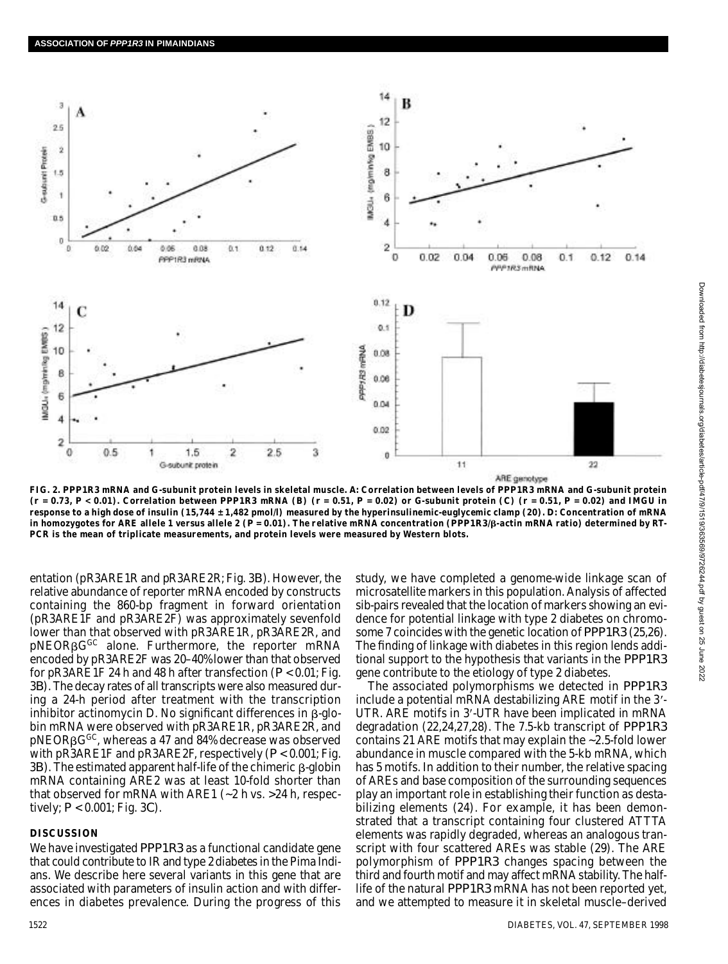

FIG. 2. PPP1R3 mRNA and G-subunit protein levels in skeletal muscle. A: Correlation between levels of PPP1R3 mRNA and G-subunit protein  $(r = 0.73, P < 0.01)$ . Correlation between PPP1R3 mRNA (B)  $(r = 0.51, P = 0.02)$  or G-subunit protein (C)  $(r = 0.51, P = 0.02)$  and IMGU in **response to a high dose of insulin (15,744 ± 1,482 pmol/l) measured by the hyperinsulinemic-euglycemic clamp (20).** *D***: Concentration of mRNA** in homozygotes for ARE allele 1 versus allele 2 (P = 0.01). The relative mRNA concentration (PPP1R3/B-actin mRNA ratio) determined by RT-**PCR is the mean of triplicate measurements, and protein levels were measured by Western blots.**

entation (pR3ARE1R and pR3ARE2R; Fig. 3*B*). However, the relative abundance of reporter mRNA encoded by constructs containing the 860-bp fragment in forward orientation (pR3ARE1F and pR3ARE2F) was approximately sevenfold lower than that observed with pR3ARE1R, pR3ARE2R, and pNEORBG<sup>GC</sup> alone. Furthermore, the reporter mRNA encoded by pR3ARE2F was 20–40% lower than that observed for pR3ARE1F 24 h and 48 h after transfection (*P* < 0.01; Fig. 3*B*). The decay rates of all transcripts were also measured during a 24-h period after treatment with the transcription inhibitor actinomycin D. No significant differences in  $\beta$ -globin mRNA were observed with pR3ARE1R, pR3ARE2R, and pNEORBG<sup>GC</sup>, whereas a 47 and 84% decrease was observed with pR3ARE1F and pR3ARE2F, respectively (*P* < 0.001; Fig.  $3B$ ). The estimated apparent half-life of the chimeric  $\beta$ -globin mRNA containing ARE2 was at least 10-fold shorter than that observed for mRNA with ARE1 (~2 h vs. >24 h, respectively; *P* < 0.001; Fig. 3*C*) .

### **DISCUSSION**

We have investigated *PPP1R3* as a functional candidate gene that could contribute to IR and type 2 diabetes in the Pima Indians. We describe here several variants in this gene that are associated with parameters of insulin action and with differences in diabetes prevalence. During the progress of this study, we have completed a genome-wide linkage scan of microsatellite markers in this population. Analysis of affected sib-pairs revealed that the location of markers showing an evidence for potential linkage with type 2 diabetes on chromosome 7 coincides with the genetic location of *PPP1R3* (25,26). The finding of linkage with diabetes in this region lends additional support to the hypothesis that variants in the *PPP1R3* gene contribute to the etiology of type 2 diabetes.

The associated polymorphisms we detected in *PPP1R3* include a potential mRNA destabilizing ARE motif in the 3'-UTR. ARE motifs in 3'-UTR have been implicated in mRNA degradation (22,24,27,28). The 7.5-kb transcript of *PPP1R3* contains 21 ARE motifs that may explain the ~2.5-fold lower abundance in muscle compared with the 5-kb mRNA, which has 5 motifs. In addition to their number, the relative spacing of AREs and base composition of the surrounding sequences play an important role in establishing their function as destabilizing elements (24). For example, it has been demonstrated that a transcript containing four clustered ATTTA elements was rapidly degraded, whereas an analogous transcript with four scattered AREs was stable (29). The ARE polymorphism of PPP1R3 changes spacing between the third and fourth motif and may affect mRNA stability. The halflife of the natural *PPP1R3* mRNA has not been reported yet, and we attempted to measure it in skeletal muscle–derived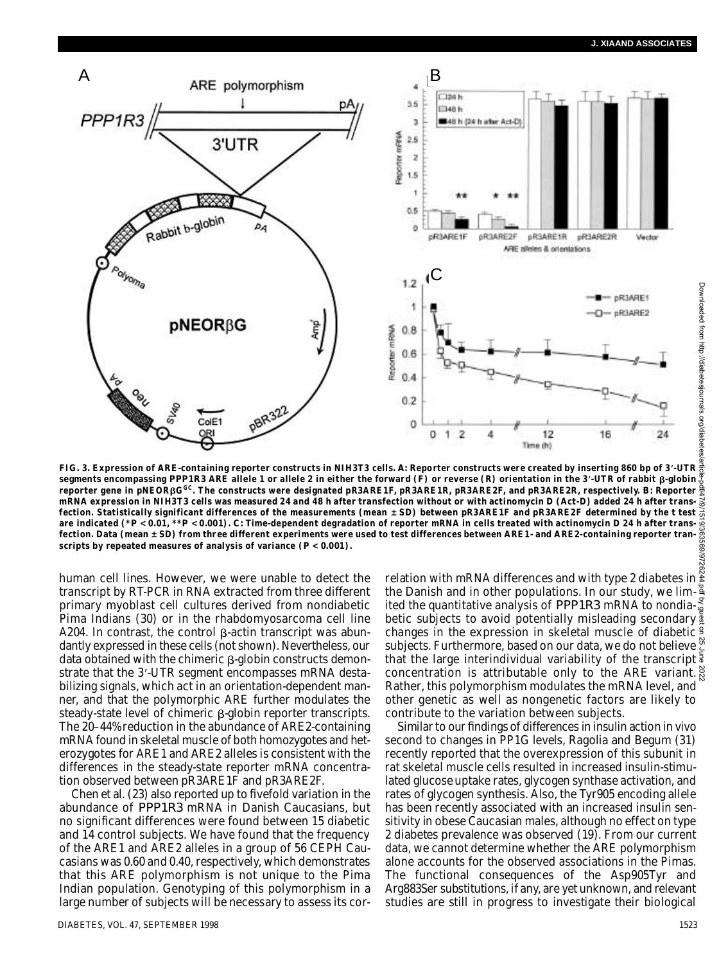

**FIG. 3. Expression of ARE-containing reporter constructs in NIH3T3 cells.** *A***: Reporter constructs were created by inserting 860 bp of 3 - U T R segments encompassing** *PPP1R3* **ARE allele 1 or allele 2 in either the forward (F) or reverse (R) orientation in the 3'<sub></sub>-UTR of rabbit β-globin reporter gene in pNEOR G G C. The constructs were designated pR3ARE1F, pR3ARE1R, pR3ARE2F, and pR3ARE2R, respectively.** *B***: Reporter mRNA expression in NIH3T3 cells was measured 24 and 48 h after transfection without or with actinomycin D (Act-D) added 24 h after trans**fection. Statistically significant differences of the measurements (mean  $\pm$  SD) between pR3ARE1F and pR3ARE2F determined by the *t* test  $\frac{1}{\Omega}$ **are indicated (\****P* **< 0.01, \*\****P* **< 0.001).** *C***: Time-dependent degradation of reporter mRNA in cells treated with actinomycin D 24 h after transfection. Data (mean ± SD) from three different experiments were used to test differences between ARE1- and ARE2-containing reporter transcripts by repeated measures of analysis of variance (***P* **< 0.001).**

human cell lines. However, we were unable to detect the transcript by RT-PCR in RNA extracted from three different primary myoblast cell cultures derived from nondiabetic Pima Indians (30) or in the rhabdomyosarcoma cell line A204. In contrast, the control  $\beta$ -actin transcript was abundantly expressed in these cells (not shown). Nevertheless, our data obtained with the chimeric  $\beta$ -globin constructs demonstrate that the 3'-UTR segment encompasses mRNA destabilizing signals, which act in an orientation-dependent manner, and that the polymorphic ARE further modulates the steady-state level of chimeric  $\beta$ -globin reporter transcripts. The 20–44% reduction in the abundance of ARE2-containing mRNA found in skeletal muscle of both homozygotes and heterozygotes for ARE1 and ARE2 alleles is consistent with the differences in the steady-state reporter mRNA concentration observed between pR3ARE1F and pR3ARE2F.

Chen et al. (23) also reported up to fivefold variation in the abundance of *PPP1R3* mRNA in Danish Caucasians, but no significant differences were found between 15 diabetic and 14 control subjects. We have found that the frequency of the ARE1 and ARE2 alleles in a group of 56 CEPH Caucasians was 0.60 and 0.40, respectively, which demonstrates that this ARE polymorphism is not unique to the Pima Indian population. Genotyping of this polymorphism in a large number of subjects will be necessary to assess its cor-

DIABETES, VOL. 47, SEPTEMBER 1998 1523

relation with mRNA differences and with type 2 diabetes in  $\tilde{\epsilon}$ the Danish and in other populations. In our study, we limited the quantitative analysis of *PPP1R3* mRNA to nondiabetic subjects to avoid potentially misleading secondary  $\frac{3}{2}$ changes in the expression in skeletal muscle of diabetic subjects. Furthermore, based on our data, we do not believe  $\frac{\infty}{2}$ that the large interindividual variability of the transcript<sup>5</sup> concentration is attributable only to the ARE variant. Rather, this polymorphism modulates the mRNA level, and other genetic as well as nongenetic factors are likely to contribute to the variation between subjects.

Similar to our findings of differences in insulin action in vivo second to changes in PP1G levels, Ragolia and Begum (31) recently reported that the overexpression of this subunit in rat skeletal muscle cells resulted in increased insulin-stimulated glucose uptake rates, glycogen synthase activation, and rates of glycogen synthesis. Also, the Tyr905 encoding allele has been recently associated with an increased insulin sensitivity in obese Caucasian males, although no effect on type 2 diabetes prevalence was observed (19). From our current data, we cannot determine whether the ARE polymorphism alone accounts for the observed associations in the Pimas. The functional consequences of the Asp905Tyr and Arg883Ser substitutions, if any, are yet unknown, and relevant studies are still in progress to investigate their biological